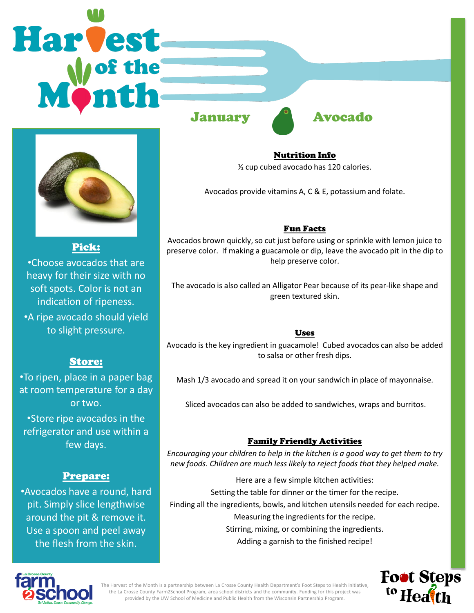# **Harvest**



Pick: •Choose avocados that are heavy for their size with no soft spots. Color is not an indication of ripeness. •A ripe avocado should yield to slight pressure.

# Store:

•To ripen, place in a paper bag at room temperature for a day or two.

•Store ripe avocados in the refrigerator and use within a few days.

# Prepare:

•Avocados have a round, hard pit. Simply slice lengthwise around the pit & remove it. Use a spoon and peel away the flesh from the skin.



Nutrition Info ½ cup cubed avocado has 120 calories.

Avocados provide vitamins A, C & E, potassium and folate.

# Fun Facts

Avocados brown quickly, so cut just before using or sprinkle with lemon juice to preserve color. If making a guacamole or dip, leave the avocado pit in the dip to help preserve color.

The avocado is also called an Alligator Pear because of its pear-like shape and green textured skin.

# Uses

Avocado is the key ingredient in guacamole! Cubed avocados can also be added to salsa or other fresh dips.

Mash 1/3 avocado and spread it on your sandwich in place of mayonnaise.

Sliced avocados can also be added to sandwiches, wraps and burritos.

# Family Friendly Activities

*Encouraging your children to help in the kitchen is a good way to get them to try new foods. Children are much less likely to reject foods that they helped make.*

Here are a few simple kitchen activities: Setting the table for dinner or the timer for the recipe. Finding all the ingredients, bowls, and kitchen utensils needed for each recipe. Measuring the ingredients for the recipe. Stirring, mixing, or combining the ingredients. Adding a garnish to the finished recipe!



**Foot Steps** <sup>to</sup> Heath

The Harvest of the Month is a partnership between La Crosse County Health Department's Foot Steps to Health initiative, the La Crosse County Farm2School Program, area school districts and the community. Funding for this project was provided by the UW School of Medicine and Public Health from the Wisconsin Partnership Program.